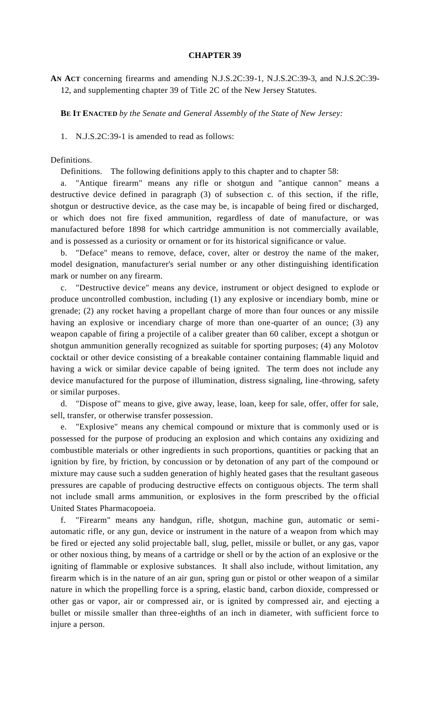## **CHAPTER 39**

**AN ACT** concerning firearms and amending N.J.S.2C:39-1, N.J.S.2C:39-3, and N.J.S.2C:39- 12, and supplementing chapter 39 of Title 2C of the New Jersey Statutes.

**BE IT ENACTED** *by the Senate and General Assembly of the State of New Jersey:*

1. N.J.S.2C:39-1 is amended to read as follows:

Definitions.

Definitions. The following definitions apply to this chapter and to chapter 58:

a. "Antique firearm" means any rifle or shotgun and "antique cannon" means a destructive device defined in paragraph (3) of subsection c. of this section, if the rifle, shotgun or destructive device, as the case may be, is incapable of being fired or discharged, or which does not fire fixed ammunition, regardless of date of manufacture, or was manufactured before 1898 for which cartridge ammunition is not commercially available, and is possessed as a curiosity or ornament or for its historical significance or value.

b. "Deface" means to remove, deface, cover, alter or destroy the name of the maker, model designation, manufacturer's serial number or any other distinguishing identification mark or number on any firearm.

c. "Destructive device" means any device, instrument or object designed to explode or produce uncontrolled combustion, including (1) any explosive or incendiary bomb, mine or grenade; (2) any rocket having a propellant charge of more than four ounces or any missile having an explosive or incendiary charge of more than one-quarter of an ounce; (3) any weapon capable of firing a projectile of a caliber greater than 60 caliber, except a shotgun or shotgun ammunition generally recognized as suitable for sporting purposes; (4) any Molotov cocktail or other device consisting of a breakable container containing flammable liquid and having a wick or similar device capable of being ignited. The term does not include any device manufactured for the purpose of illumination, distress signaling, line-throwing, safety or similar purposes.

d. "Dispose of" means to give, give away, lease, loan, keep for sale, offer, offer for sale, sell, transfer, or otherwise transfer possession.

e. "Explosive" means any chemical compound or mixture that is commonly used or is possessed for the purpose of producing an explosion and which contains any oxidizing and combustible materials or other ingredients in such proportions, quantities or packing that an ignition by fire, by friction, by concussion or by detonation of any part of the compound or mixture may cause such a sudden generation of highly heated gases that the resultant gaseous pressures are capable of producing destructive effects on contiguous objects. The term shall not include small arms ammunition, or explosives in the form prescribed by the official United States Pharmacopoeia.

f. "Firearm" means any handgun, rifle, shotgun, machine gun, automatic or semiautomatic rifle, or any gun, device or instrument in the nature of a weapon from which may be fired or ejected any solid projectable ball, slug, pellet, missile or bullet, or any gas, vapor or other noxious thing, by means of a cartridge or shell or by the action of an explosive or the igniting of flammable or explosive substances. It shall also include, without limitation, any firearm which is in the nature of an air gun, spring gun or pistol or other weapon of a similar nature in which the propelling force is a spring, elastic band, carbon dioxide, compressed or other gas or vapor, air or compressed air, or is ignited by compressed air, and ejecting a bullet or missile smaller than three-eighths of an inch in diameter, with sufficient force to injure a person.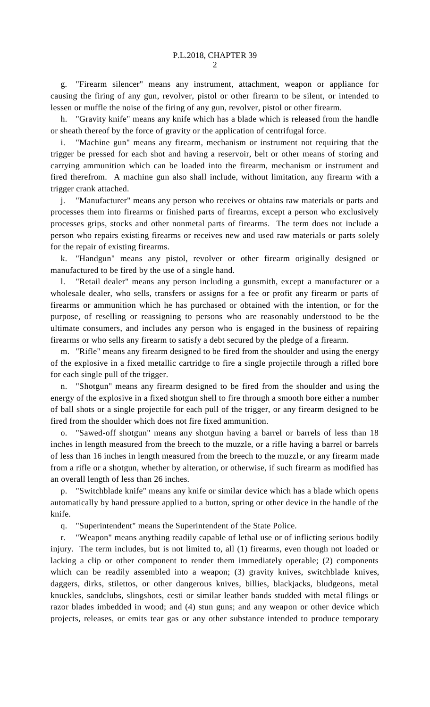g. "Firearm silencer" means any instrument, attachment, weapon or appliance for causing the firing of any gun, revolver, pistol or other firearm to be silent, or intended to lessen or muffle the noise of the firing of any gun, revolver, pistol or other firearm.

h. "Gravity knife" means any knife which has a blade which is released from the handle or sheath thereof by the force of gravity or the application of centrifugal force.

i. "Machine gun" means any firearm, mechanism or instrument not requiring that the trigger be pressed for each shot and having a reservoir, belt or other means of storing and carrying ammunition which can be loaded into the firearm, mechanism or instrument and fired therefrom. A machine gun also shall include, without limitation, any firearm with a trigger crank attached.

j. "Manufacturer" means any person who receives or obtains raw materials or parts and processes them into firearms or finished parts of firearms, except a person who exclusively processes grips, stocks and other nonmetal parts of firearms. The term does not include a person who repairs existing firearms or receives new and used raw materials or parts solely for the repair of existing firearms.

k. "Handgun" means any pistol, revolver or other firearm originally designed or manufactured to be fired by the use of a single hand.

l. "Retail dealer" means any person including a gunsmith, except a manufacturer or a wholesale dealer, who sells, transfers or assigns for a fee or profit any firearm or parts of firearms or ammunition which he has purchased or obtained with the intention, or for the purpose, of reselling or reassigning to persons who are reasonably understood to be the ultimate consumers, and includes any person who is engaged in the business of repairing firearms or who sells any firearm to satisfy a debt secured by the pledge of a firearm.

m. "Rifle" means any firearm designed to be fired from the shoulder and using the energy of the explosive in a fixed metallic cartridge to fire a single projectile through a rifled bore for each single pull of the trigger.

n. "Shotgun" means any firearm designed to be fired from the shoulder and using the energy of the explosive in a fixed shotgun shell to fire through a smooth bore either a number of ball shots or a single projectile for each pull of the trigger, or any firearm designed to be fired from the shoulder which does not fire fixed ammunition.

"Sawed-off shotgun" means any shotgun having a barrel or barrels of less than 18 inches in length measured from the breech to the muzzle, or a rifle having a barrel or barrels of less than 16 inches in length measured from the breech to the muzzle, or any firearm made from a rifle or a shotgun, whether by alteration, or otherwise, if such firearm as modified has an overall length of less than 26 inches.

p. "Switchblade knife" means any knife or similar device which has a blade which opens automatically by hand pressure applied to a button, spring or other device in the handle of the knife.

q. "Superintendent" means the Superintendent of the State Police.

r. "Weapon" means anything readily capable of lethal use or of inflicting serious bodily injury. The term includes, but is not limited to, all (1) firearms, even though not loaded or lacking a clip or other component to render them immediately operable; (2) components which can be readily assembled into a weapon; (3) gravity knives, switchblade knives, daggers, dirks, stilettos, or other dangerous knives, billies, blackjacks, bludgeons, metal knuckles, sandclubs, slingshots, cesti or similar leather bands studded with metal filings or razor blades imbedded in wood; and (4) stun guns; and any weapon or other device which projects, releases, or emits tear gas or any other substance intended to produce temporary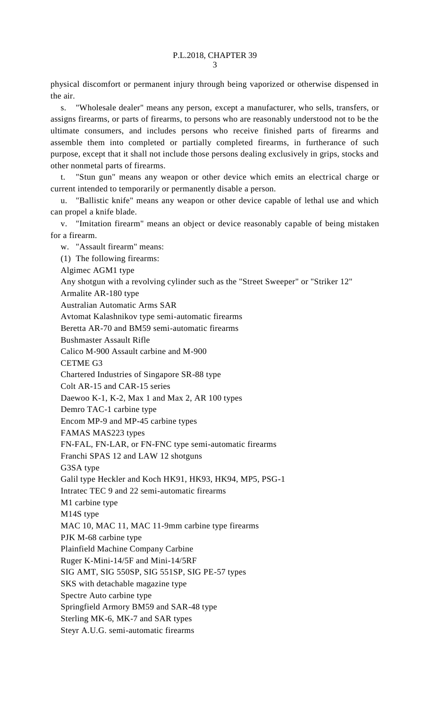physical discomfort or permanent injury through being vaporized or otherwise dispensed in the air.

s. "Wholesale dealer" means any person, except a manufacturer, who sells, transfers, or assigns firearms, or parts of firearms, to persons who are reasonably understood not to be the ultimate consumers, and includes persons who receive finished parts of firearms and assemble them into completed or partially completed firearms, in furtherance of such purpose, except that it shall not include those persons dealing exclusively in grips, stocks and other nonmetal parts of firearms.

t. "Stun gun" means any weapon or other device which emits an electrical charge or current intended to temporarily or permanently disable a person.

u. "Ballistic knife" means any weapon or other device capable of lethal use and which can propel a knife blade.

v. "Imitation firearm" means an object or device reasonably capable of being mistaken for a firearm.

w. "Assault firearm" means:

(1) The following firearms:

Algimec AGM1 type

Any shotgun with a revolving cylinder such as the "Street Sweeper" or "Striker 12"

Armalite AR-180 type

Australian Automatic Arms SAR

Avtomat Kalashnikov type semi-automatic firearms

Beretta AR-70 and BM59 semi-automatic firearms

Bushmaster Assault Rifle

Calico M-900 Assault carbine and M-900

CETME G3

Chartered Industries of Singapore SR-88 type

Colt AR-15 and CAR-15 series

Daewoo K-1, K-2, Max 1 and Max 2, AR 100 types

Demro TAC-1 carbine type

Encom MP-9 and MP-45 carbine types

FAMAS MAS223 types

FN-FAL, FN-LAR, or FN-FNC type semi-automatic firearms

Franchi SPAS 12 and LAW 12 shotguns

G3SA type

Galil type Heckler and Koch HK91, HK93, HK94, MP5, PSG-1

Intratec TEC 9 and 22 semi-automatic firearms

M1 carbine type

M14S type

MAC 10, MAC 11, MAC 11-9mm carbine type firearms

PJK M-68 carbine type

Plainfield Machine Company Carbine

Ruger K-Mini-14/5F and Mini-14/5RF

SIG AMT, SIG 550SP, SIG 551SP, SIG PE-57 types

SKS with detachable magazine type

Spectre Auto carbine type

Springfield Armory BM59 and SAR-48 type

Sterling MK-6, MK-7 and SAR types

Steyr A.U.G. semi-automatic firearms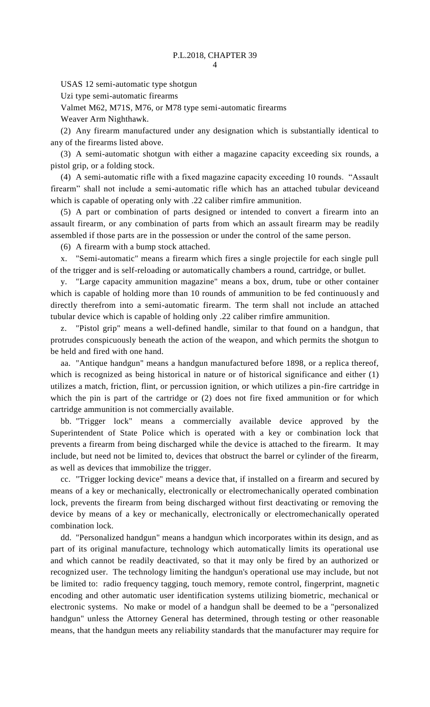USAS 12 semi-automatic type shotgun

Uzi type semi-automatic firearms

Valmet M62, M71S, M76, or M78 type semi-automatic firearms

Weaver Arm Nighthawk.

(2) Any firearm manufactured under any designation which is substantially identical to any of the firearms listed above.

(3) A semi-automatic shotgun with either a magazine capacity exceeding six rounds, a pistol grip, or a folding stock.

(4) A semi-automatic rifle with a fixed magazine capacity exceeding 10 rounds. "Assault firearm" shall not include a semi-automatic rifle which has an attached tubular deviceand which is capable of operating only with .22 caliber rimfire ammunition.

(5) A part or combination of parts designed or intended to convert a firearm into an assault firearm, or any combination of parts from which an assault firearm may be readily assembled if those parts are in the possession or under the control of the same person.

(6) A firearm with a bump stock attached.

x. "Semi-automatic" means a firearm which fires a single projectile for each single pull of the trigger and is self-reloading or automatically chambers a round, cartridge, or bullet.

"Large capacity ammunition magazine" means a box, drum, tube or other container which is capable of holding more than 10 rounds of ammunition to be fed continuously and directly therefrom into a semi-automatic firearm. The term shall not include an attached tubular device which is capable of holding only .22 caliber rimfire ammunition.

z. "Pistol grip" means a well-defined handle, similar to that found on a handgun, that protrudes conspicuously beneath the action of the weapon, and which permits the shotgun to be held and fired with one hand.

aa. "Antique handgun" means a handgun manufactured before 1898, or a replica thereof, which is recognized as being historical in nature or of historical significance and either (1) utilizes a match, friction, flint, or percussion ignition, or which utilizes a pin-fire cartridge in which the pin is part of the cartridge or (2) does not fire fixed ammunition or for which cartridge ammunition is not commercially available.

bb. "Trigger lock" means a commercially available device approved by the Superintendent of State Police which is operated with a key or combination lock that prevents a firearm from being discharged while the device is attached to the firearm. It may include, but need not be limited to, devices that obstruct the barrel or cylinder of the firearm, as well as devices that immobilize the trigger.

cc. "Trigger locking device" means a device that, if installed on a firearm and secured by means of a key or mechanically, electronically or electromechanically operated combination lock, prevents the firearm from being discharged without first deactivating or removing the device by means of a key or mechanically, electronically or electromechanically operated combination lock.

dd. "Personalized handgun" means a handgun which incorporates within its design, and as part of its original manufacture, technology which automatically limits its operational use and which cannot be readily deactivated, so that it may only be fired by an authorized or recognized user. The technology limiting the handgun's operational use may include, but not be limited to: radio frequency tagging, touch memory, remote control, fingerprint, magnetic encoding and other automatic user identification systems utilizing biometric, mechanical or electronic systems. No make or model of a handgun shall be deemed to be a "personalized handgun" unless the Attorney General has determined, through testing or other reasonable means, that the handgun meets any reliability standards that the manufacturer may require for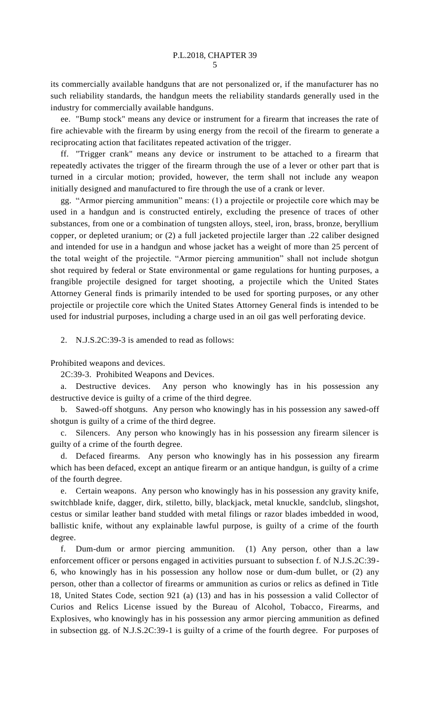its commercially available handguns that are not personalized or, if the manufacturer has no such reliability standards, the handgun meets the reliability standards generally used in the industry for commercially available handguns.

ee. "Bump stock" means any device or instrument for a firearm that increases the rate of fire achievable with the firearm by using energy from the recoil of the firearm to generate a reciprocating action that facilitates repeated activation of the trigger.

ff. "Trigger crank" means any device or instrument to be attached to a firearm that repeatedly activates the trigger of the firearm through the use of a lever or other part that is turned in a circular motion; provided, however, the term shall not include any weapon initially designed and manufactured to fire through the use of a crank or lever.

gg. "Armor piercing ammunition" means: (1) a projectile or projectile core which may be used in a handgun and is constructed entirely, excluding the presence of traces of other substances, from one or a combination of tungsten alloys, steel, iron, brass, bronze, beryllium copper, or depleted uranium; or (2) a full jacketed projectile larger than .22 caliber designed and intended for use in a handgun and whose jacket has a weight of more than 25 percent of the total weight of the projectile. "Armor piercing ammunition" shall not include shotgun shot required by federal or State environmental or game regulations for hunting purposes, a frangible projectile designed for target shooting, a projectile which the United States Attorney General finds is primarily intended to be used for sporting purposes, or any other projectile or projectile core which the United States Attorney General finds is intended to be used for industrial purposes, including a charge used in an oil gas well perforating device.

2. N.J.S.2C:39-3 is amended to read as follows:

Prohibited weapons and devices.

2C:39-3. Prohibited Weapons and Devices.

a. Destructive devices. Any person who knowingly has in his possession any destructive device is guilty of a crime of the third degree.

b. Sawed-off shotguns. Any person who knowingly has in his possession any sawed-off shotgun is guilty of a crime of the third degree.

c. Silencers. Any person who knowingly has in his possession any firearm silencer is guilty of a crime of the fourth degree.

d. Defaced firearms. Any person who knowingly has in his possession any firearm which has been defaced, except an antique firearm or an antique handgun, is guilty of a crime of the fourth degree.

e. Certain weapons. Any person who knowingly has in his possession any gravity knife, switchblade knife, dagger, dirk, stiletto, billy, blackjack, metal knuckle, sandclub, slingshot, cestus or similar leather band studded with metal filings or razor blades imbedded in wood, ballistic knife, without any explainable lawful purpose, is guilty of a crime of the fourth degree.

f. Dum-dum or armor piercing ammunition. (1) Any person, other than a law enforcement officer or persons engaged in activities pursuant to subsection f. of N.J.S.2C:39- 6, who knowingly has in his possession any hollow nose or dum-dum bullet, or (2) any person, other than a collector of firearms or ammunition as curios or relics as defined in Title 18, United States Code, section 921 (a) (13) and has in his possession a valid Collector of Curios and Relics License issued by the Bureau of Alcohol, Tobacco, Firearms, and Explosives, who knowingly has in his possession any armor piercing ammunition as defined in subsection gg. of N.J.S.2C:39-1 is guilty of a crime of the fourth degree. For purposes of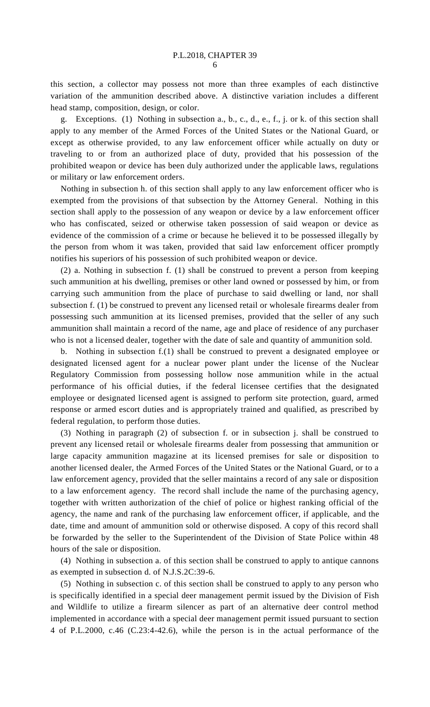this section, a collector may possess not more than three examples of each distinctive variation of the ammunition described above. A distinctive variation includes a different head stamp, composition, design, or color.

g. Exceptions. (1) Nothing in subsection a., b., c., d., e., f., j. or k. of this section shall apply to any member of the Armed Forces of the United States or the National Guard, or except as otherwise provided, to any law enforcement officer while actually on duty or traveling to or from an authorized place of duty, provided that his possession of the prohibited weapon or device has been duly authorized under the applicable laws, regulations or military or law enforcement orders.

Nothing in subsection h. of this section shall apply to any law enforcement officer who is exempted from the provisions of that subsection by the Attorney General. Nothing in this section shall apply to the possession of any weapon or device by a law enforcement officer who has confiscated, seized or otherwise taken possession of said weapon or device as evidence of the commission of a crime or because he believed it to be possessed illegally by the person from whom it was taken, provided that said law enforcement officer promptly notifies his superiors of his possession of such prohibited weapon or device.

(2) a. Nothing in subsection f. (1) shall be construed to prevent a person from keeping such ammunition at his dwelling, premises or other land owned or possessed by him, or from carrying such ammunition from the place of purchase to said dwelling or land, nor shall subsection f. (1) be construed to prevent any licensed retail or wholesale firearms dealer from possessing such ammunition at its licensed premises, provided that the seller of any such ammunition shall maintain a record of the name, age and place of residence of any purchaser who is not a licensed dealer, together with the date of sale and quantity of ammunition sold.

b. Nothing in subsection f.(1) shall be construed to prevent a designated employee or designated licensed agent for a nuclear power plant under the license of the Nuclear Regulatory Commission from possessing hollow nose ammunition while in the actual performance of his official duties, if the federal licensee certifies that the designated employee or designated licensed agent is assigned to perform site protection, guard, armed response or armed escort duties and is appropriately trained and qualified, as prescribed by federal regulation, to perform those duties.

(3) Nothing in paragraph (2) of subsection f. or in subsection j. shall be construed to prevent any licensed retail or wholesale firearms dealer from possessing that ammunition or large capacity ammunition magazine at its licensed premises for sale or disposition to another licensed dealer, the Armed Forces of the United States or the National Guard, or to a law enforcement agency, provided that the seller maintains a record of any sale or disposition to a law enforcement agency. The record shall include the name of the purchasing agency, together with written authorization of the chief of police or highest ranking official of the agency, the name and rank of the purchasing law enforcement officer, if applicable, and the date, time and amount of ammunition sold or otherwise disposed. A copy of this record shall be forwarded by the seller to the Superintendent of the Division of State Police within 48 hours of the sale or disposition.

(4) Nothing in subsection a. of this section shall be construed to apply to antique cannons as exempted in subsection d. of N.J.S.2C:39-6.

(5) Nothing in subsection c. of this section shall be construed to apply to any person who is specifically identified in a special deer management permit issued by the Division of Fish and Wildlife to utilize a firearm silencer as part of an alternative deer control method implemented in accordance with a special deer management permit issued pursuant to section 4 of P.L.2000, c.46 (C.23:4-42.6), while the person is in the actual performance of the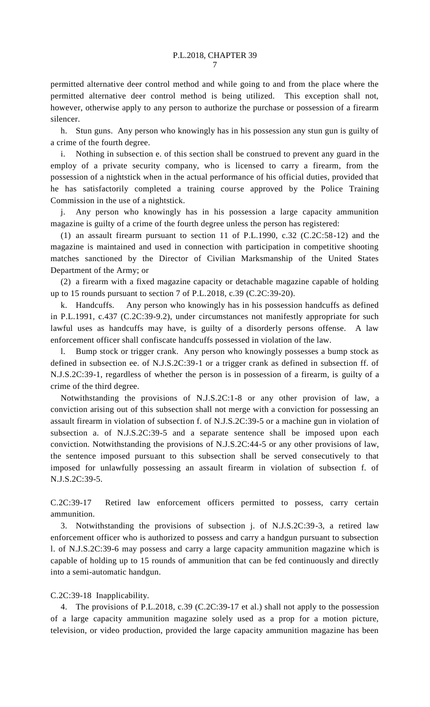permitted alternative deer control method and while going to and from the place where the permitted alternative deer control method is being utilized. This exception shall not, however, otherwise apply to any person to authorize the purchase or possession of a firearm silencer.

h. Stun guns. Any person who knowingly has in his possession any stun gun is guilty of a crime of the fourth degree.

i. Nothing in subsection e. of this section shall be construed to prevent any guard in the employ of a private security company, who is licensed to carry a firearm, from the possession of a nightstick when in the actual performance of his official duties, provided that he has satisfactorily completed a training course approved by the Police Training Commission in the use of a nightstick.

j. Any person who knowingly has in his possession a large capacity ammunition magazine is guilty of a crime of the fourth degree unless the person has registered:

(1) an assault firearm pursuant to section 11 of P.L.1990, c.32 (C.2C:58-12) and the magazine is maintained and used in connection with participation in competitive shooting matches sanctioned by the Director of Civilian Marksmanship of the United States Department of the Army; or

(2) a firearm with a fixed magazine capacity or detachable magazine capable of holding up to 15 rounds pursuant to section 7 of P.L.2018, c.39 (C.2C:39-20).

k. Handcuffs. Any person who knowingly has in his possession handcuffs as defined in P.L.1991, c.437 (C.2C:39-9.2), under circumstances not manifestly appropriate for such lawful uses as handcuffs may have, is guilty of a disorderly persons offense. A law enforcement officer shall confiscate handcuffs possessed in violation of the law.

l. Bump stock or trigger crank. Any person who knowingly possesses a bump stock as defined in subsection ee. of N.J.S.2C:39-1 or a trigger crank as defined in subsection ff. of N.J.S.2C:39-1, regardless of whether the person is in possession of a firearm, is guilty of a crime of the third degree.

Notwithstanding the provisions of N.J.S.2C:1-8 or any other provision of law, a conviction arising out of this subsection shall not merge with a conviction for possessing an assault firearm in violation of subsection f. of N.J.S.2C:39-5 or a machine gun in violation of subsection a. of N.J.S.2C:39-5 and a separate sentence shall be imposed upon each conviction. Notwithstanding the provisions of N.J.S.2C:44-5 or any other provisions of law, the sentence imposed pursuant to this subsection shall be served consecutively to that imposed for unlawfully possessing an assault firearm in violation of subsection f. of N.J.S.2C:39-5.

C.2C:39-17 Retired law enforcement officers permitted to possess, carry certain ammunition.

3. Notwithstanding the provisions of subsection j. of N.J.S.2C:39-3, a retired law enforcement officer who is authorized to possess and carry a handgun pursuant to subsection l. of N.J.S.2C:39-6 may possess and carry a large capacity ammunition magazine which is capable of holding up to 15 rounds of ammunition that can be fed continuously and directly into a semi-automatic handgun.

C.2C:39-18 Inapplicability.

4. The provisions of P.L.2018, c.39 (C.2C:39-17 et al.) shall not apply to the possession of a large capacity ammunition magazine solely used as a prop for a motion picture, television, or video production, provided the large capacity ammunition magazine has been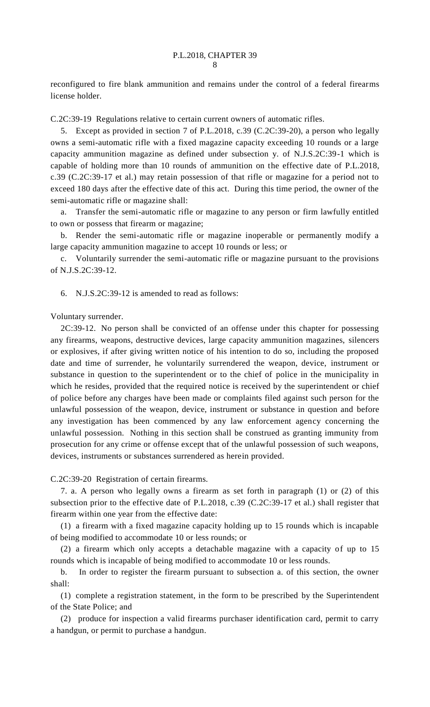reconfigured to fire blank ammunition and remains under the control of a federal firearms license holder.

C.2C:39-19 Regulations relative to certain current owners of automatic rifles.

5. Except as provided in section 7 of P.L.2018, c.39 (C.2C:39-20), a person who legally owns a semi-automatic rifle with a fixed magazine capacity exceeding 10 rounds or a large capacity ammunition magazine as defined under subsection y. of N.J.S.2C:39-1 which is capable of holding more than 10 rounds of ammunition on the effective date of P.L.2018, c.39 (C.2C:39-17 et al.) may retain possession of that rifle or magazine for a period not to exceed 180 days after the effective date of this act. During this time period, the owner of the semi-automatic rifle or magazine shall:

a. Transfer the semi-automatic rifle or magazine to any person or firm lawfully entitled to own or possess that firearm or magazine;

b. Render the semi-automatic rifle or magazine inoperable or permanently modify a large capacity ammunition magazine to accept 10 rounds or less; or

c. Voluntarily surrender the semi-automatic rifle or magazine pursuant to the provisions of N.J.S.2C:39-12.

6. N.J.S.2C:39-12 is amended to read as follows:

Voluntary surrender.

2C:39-12. No person shall be convicted of an offense under this chapter for possessing any firearms, weapons, destructive devices, large capacity ammunition magazines, silencers or explosives, if after giving written notice of his intention to do so, including the proposed date and time of surrender, he voluntarily surrendered the weapon, device, instrument or substance in question to the superintendent or to the chief of police in the municipality in which he resides, provided that the required notice is received by the superintendent or chief of police before any charges have been made or complaints filed against such person for the unlawful possession of the weapon, device, instrument or substance in question and before any investigation has been commenced by any law enforcement agency concerning the unlawful possession. Nothing in this section shall be construed as granting immunity from prosecution for any crime or offense except that of the unlawful possession of such weapons, devices, instruments or substances surrendered as herein provided.

C.2C:39-20 Registration of certain firearms.

7. a. A person who legally owns a firearm as set forth in paragraph (1) or (2) of this subsection prior to the effective date of P.L.2018, c.39 (C.2C:39-17 et al.) shall register that firearm within one year from the effective date:

(1) a firearm with a fixed magazine capacity holding up to 15 rounds which is incapable of being modified to accommodate 10 or less rounds; or

(2) a firearm which only accepts a detachable magazine with a capacity of up to 15 rounds which is incapable of being modified to accommodate 10 or less rounds.

b. In order to register the firearm pursuant to subsection a. of this section, the owner shall:

(1) complete a registration statement, in the form to be prescribed by the Superintendent of the State Police; and

(2) produce for inspection a valid firearms purchaser identification card, permit to carry a handgun, or permit to purchase a handgun.